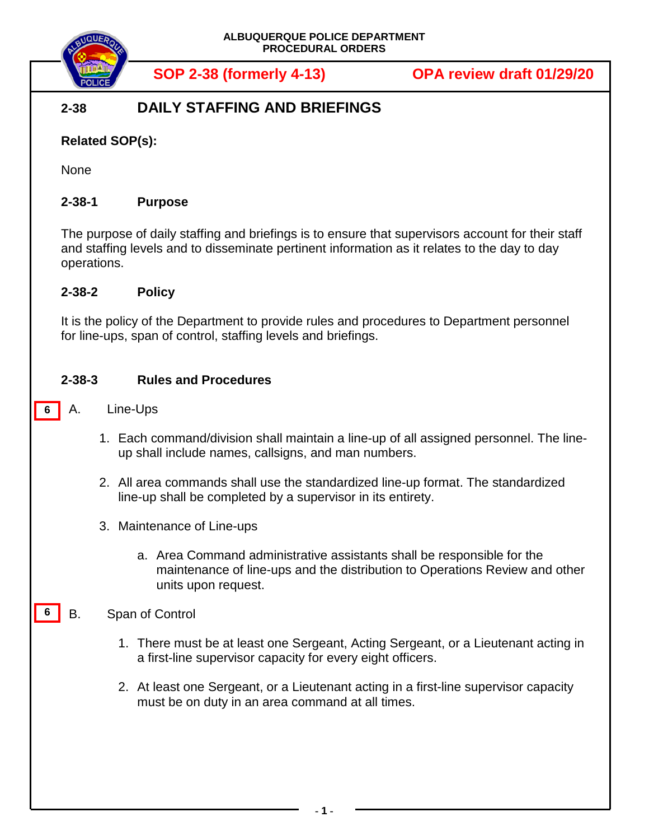

**SOP 2-38 (formerly 4-13) OPA review draft 01/29/20**

# **2-38 DAILY STAFFING AND BRIEFINGS**

## **Related SOP(s):**

None

## **2-38-1 Purpose**

The purpose of daily staffing and briefings is to ensure that supervisors account for their staff and staffing levels and to disseminate pertinent information as it relates to the day to day operations.

#### **2-38-2 Policy**

It is the policy of the Department to provide rules and procedures to Department personnel for line-ups, span of control, staffing levels and briefings.

### **2-38-3 Rules and Procedures**

- A. Line-Ups **6**
	- 1. Each command/division shall maintain a line-up of all assigned personnel. The lineup shall include names, callsigns, and man numbers.
	- 2. All area commands shall use the standardized line-up format. The standardized line-up shall be completed by a supervisor in its entirety.
	- 3. Maintenance of Line-ups
		- a. Area Command administrative assistants shall be responsible for the maintenance of line-ups and the distribution to Operations Review and other units upon request.

#### B. Span of Control **6**

- 1. There must be at least one Sergeant, Acting Sergeant, or a Lieutenant acting in a first-line supervisor capacity for every eight officers.
- 2. At least one Sergeant, or a Lieutenant acting in a first-line supervisor capacity must be on duty in an area command at all times.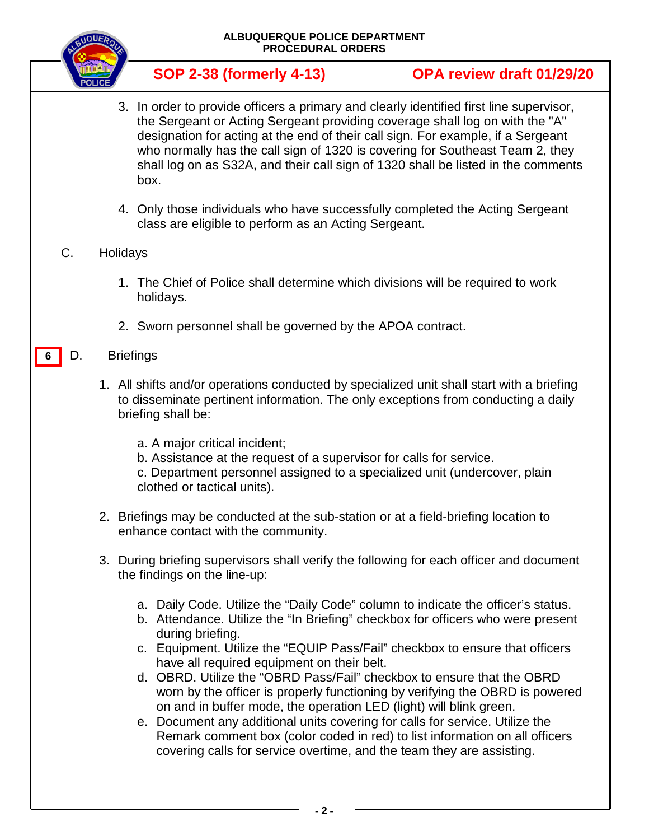

# **SOP 2-38 (formerly 4-13) OPA review draft 01/29/20**

- 3. In order to provide officers a primary and clearly identified first line supervisor, the Sergeant or Acting Sergeant providing coverage shall log on with the "A" designation for acting at the end of their call sign. For example, if a Sergeant who normally has the call sign of 1320 is covering for Southeast Team 2, they shall log on as S32A, and their call sign of 1320 shall be listed in the comments box.
- 4. Only those individuals who have successfully completed the Acting Sergeant class are eligible to perform as an Acting Sergeant.

#### C. Holidays

- 1. The Chief of Police shall determine which divisions will be required to work holidays.
- 2. Sworn personnel shall be governed by the APOA contract.

#### D. Briefings **6**

- 1. All shifts and/or operations conducted by specialized unit shall start with a briefing to disseminate pertinent information. The only exceptions from conducting a daily briefing shall be:
	- a. A major critical incident;
	- b. Assistance at the request of a supervisor for calls for service.

c. Department personnel assigned to a specialized unit (undercover, plain clothed or tactical units).

- 2. Briefings may be conducted at the sub-station or at a field-briefing location to enhance contact with the community.
- 3. During briefing supervisors shall verify the following for each officer and document the findings on the line-up:
	- a. Daily Code. Utilize the "Daily Code" column to indicate the officer's status.
	- b. Attendance. Utilize the "In Briefing" checkbox for officers who were present during briefing.
	- c. Equipment. Utilize the "EQUIP Pass/Fail" checkbox to ensure that officers have all required equipment on their belt.
	- d. OBRD. Utilize the "OBRD Pass/Fail" checkbox to ensure that the OBRD worn by the officer is properly functioning by verifying the OBRD is powered on and in buffer mode, the operation LED (light) will blink green.
	- e. Document any additional units covering for calls for service. Utilize the Remark comment box (color coded in red) to list information on all officers covering calls for service overtime, and the team they are assisting.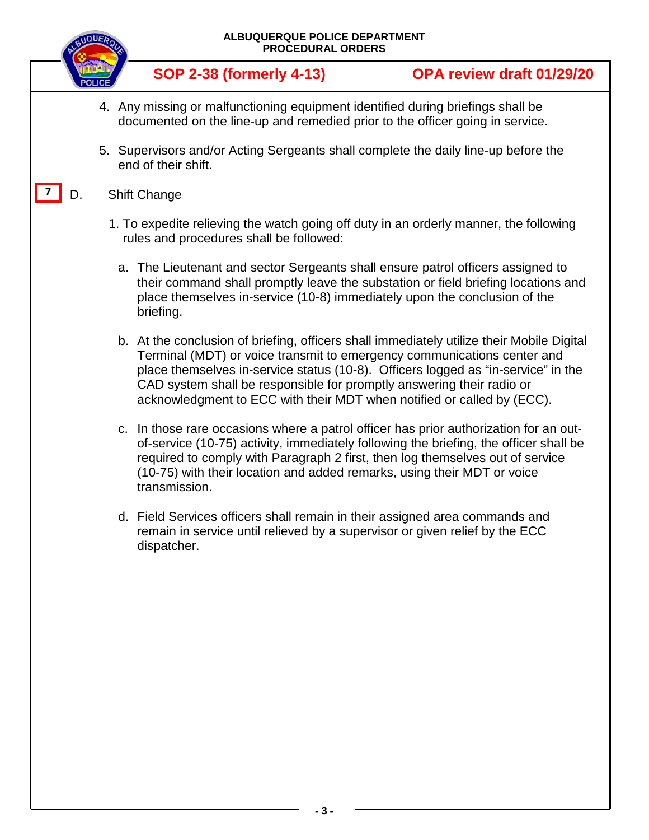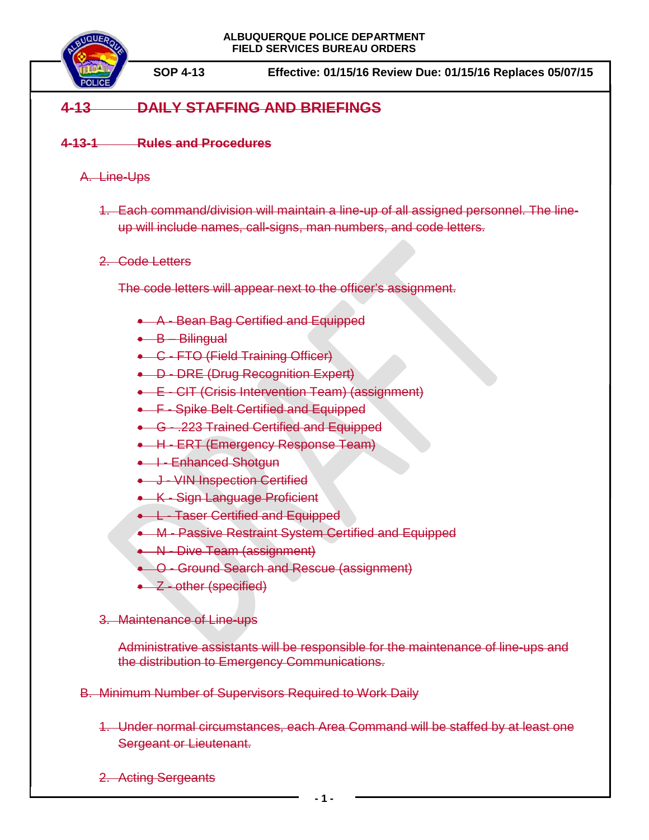

**SOP 4-13 Effective: 01/15/16 Review Due: 01/15/16 Replaces 05/07/15**

# **4-13 DAILY STAFFING AND BRIEFINGS**

#### **4-13-1 Rules and Procedures**

#### A. Line-Ups

1. Each command/division will maintain a line-up of all assigned personnel. The lineup will include names, call-signs, man numbers, and code letters.

#### 2. Code Letters

The code letters will appear next to the officer's assignment.

- A Bean Bag Certified and Equipped
- B Bilingual
- C FTO (Field Training Officer)
- D DRE (Drug Recognition Expert)
- E CIT (Crisis Intervention Team) (assignment)
- F Spike Belt Certified and Equipped
- G .223 Trained Certified and Equipped
- H ERT (Emergency Response Team)
- I Enhanced Shotgun
- J VIN Inspection Certified
- K Sign Language Proficient
- L Taser Certified and Equipped
- M Passive Restraint System Certified and Equipped
- N Dive Team (assignment)
- O Ground Search and Rescue (assignment)
- Z other (specified)
- 3. Maintenance of Line-ups

Administrative assistants will be responsible for the maintenance of line-ups and the distribution to Emergency Communications.

- B. Minimum Number of Supervisors Required to Work Daily
	- 1. Under normal circumstances, each Area Command will be staffed by at least one Sergeant or Lieutenant.
	- 2. Acting Sergeants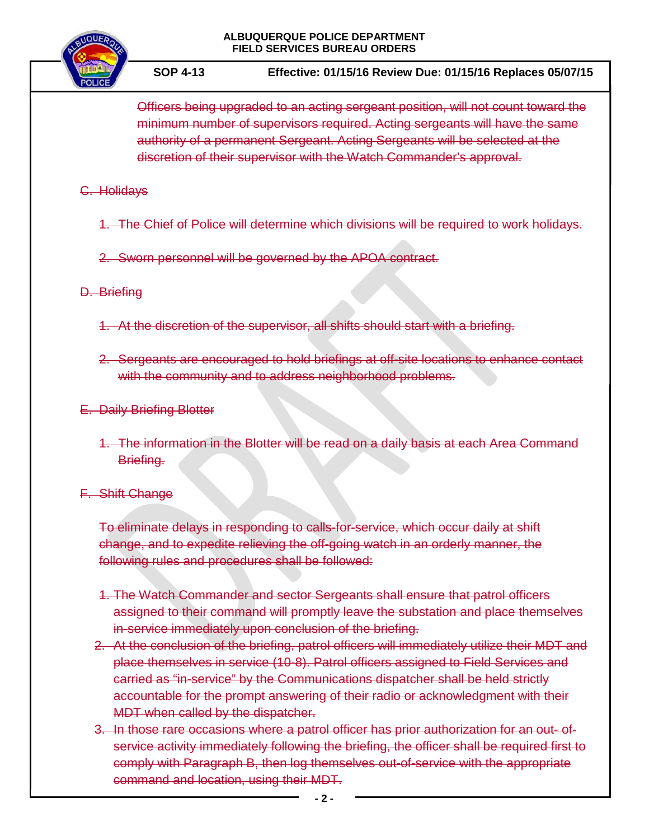#### **ALBUQUERQUE POLICE DEPARTMENT FIELD SERVICES BUREAU ORDERS**



**SOP 4-13 Effective: 01/15/16 Review Due: 01/15/16 Replaces 05/07/15**

Officers being upgraded to an acting sergeant position, will not count toward the minimum number of supervisors required. Acting sergeants will have the same authority of a permanent Sergeant. Acting Sergeants will be selected at the discretion of their supervisor with the Watch Commander's approval.

#### C. Holidays

1. The Chief of Police will determine which divisions will be required to work holidays.

2. Sworn personnel will be governed by the APOA contract.

### D. Briefing

- 1. At the discretion of the supervisor, all shifts should start with a briefing.
- 2. Sergeants are encouraged to hold briefings at off-site locations to enhance contact with the community and to address neighborhood problems.

### E. Daily Briefing Blotter

1. The information in the Blotter will be read on a daily basis at each Area Command Briefing.

#### F. Shift Change

To eliminate delays in responding to calls-for-service, which occur daily at shift change, and to expedite relieving the off-going watch in an orderly manner, the following rules and procedures shall be followed:

- 1. The Watch Commander and sector Sergeants shall ensure that patrol officers assigned to their command will promptly leave the substation and place themselves in-service immediately upon conclusion of the briefing.
- 2. At the conclusion of the briefing, patrol officers will immediately utilize their MDT and place themselves in service (10-8). Patrol officers assigned to Field Services and carried as "in-service" by the Communications dispatcher shall be held strictly accountable for the prompt answering of their radio or acknowledgment with their MDT when called by the dispatcher.
- 3. In those rare occasions where a patrol officer has prior authorization for an out- ofservice activity immediately following the briefing, the officer shall be required first to comply with Paragraph B, then log themselves out-of-service with the appropriate command and location, using their MDT.